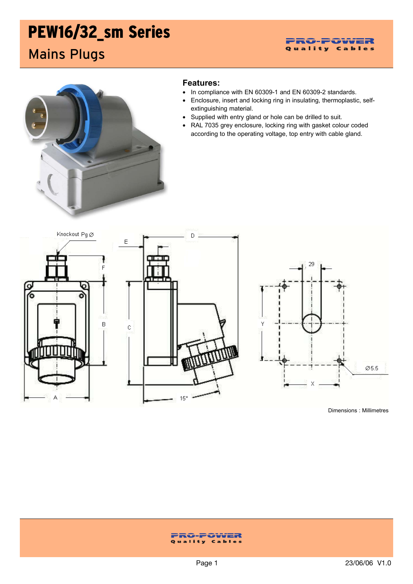# PEW16/32\_sm Series

Mains Plugs



### **Features:**

- In compliance with EN 60309-1 and EN 60309-2 standards.
- Enclosure, insert and locking ring in insulating, thermoplastic, selfextinguishing material.
- Supplied with entry gland or hole can be drilled to suit.
- RAL 7035 grey enclosure, locking ring with gasket colour coded according to the operating voltage, top entry with cable gland.







Dimensions : Millimetres

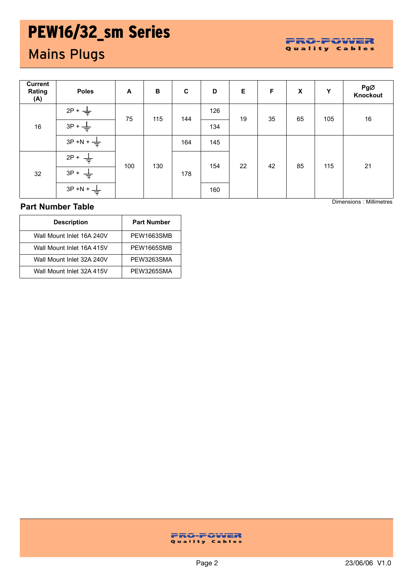## PEW16/32\_sm Series

### Mains Plugs

|  |  |  |  |  | PRO-POWER      |  |  |
|--|--|--|--|--|----------------|--|--|
|  |  |  |  |  | Quality Cables |  |  |

| <b>Current</b><br>Rating<br>(A) | <b>Poles</b> | A   | $\, {\bf B}$ | $\mathbf C$ | D   | E  | F  | X  | Υ   | PgØ<br>Knockout |
|---------------------------------|--------------|-----|--------------|-------------|-----|----|----|----|-----|-----------------|
| 16                              | $2P +$       | 75  | 115          | 144         | 126 | 19 | 35 | 65 | 105 | $16\,$          |
|                                 | $3P +$       |     |              |             | 134 |    |    |    |     |                 |
|                                 | $3P + N +$   |     | 130          | 164         | 145 | 22 |    | 85 | 115 | 21              |
| 32                              | $2P +$       | 100 |              | 178         | 154 |    | 42 |    |     |                 |
|                                 | $3P +$       |     |              |             |     |    |    |    |     |                 |
|                                 | $3P + N +$   |     |              |             | 160 |    |    |    |     |                 |

Dimensions : Millimetres

### **Part Number Table**

| <b>Description</b>        | <b>Part Number</b> |  |  |  |  |
|---------------------------|--------------------|--|--|--|--|
| Wall Mount Inlet 16A 240V | PEW1663SMB         |  |  |  |  |
| Wall Mount Inlet 16A 415V | PFW1665SMB         |  |  |  |  |
| Wall Mount Inlet 32A 240V | PFW3263SMA         |  |  |  |  |
| Wall Mount Inlet 32A 415V | PFW3265SMA         |  |  |  |  |

### **FRO-FOWER**<br>Quality Cables